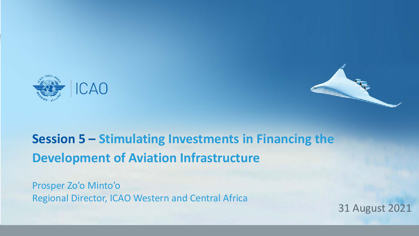



## **Session 5 – Stimulating Investments in Financing the Development of Aviation Infrastructure**

Prosper Zo'o Minto'o Regional Director, ICAO Western and Central Africa

31 August 2021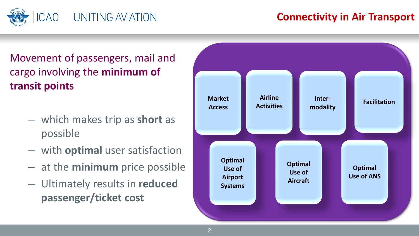

## **Connectivity in Air Transport**

## Movement of passengers, mail and cargo involving the **minimum of transit points**

- which makes trip as **short** as possible
- with **optimal** user satisfaction
- at the **minimum** price possible
- Ultimately results in **reduced passenger/ticket cost**

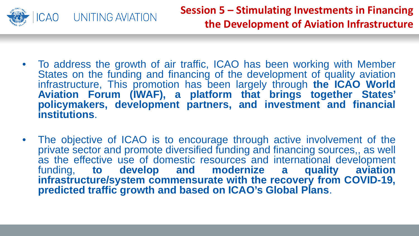

- To address the growth of air traffic, ICAO has been working with Member States on the funding and financing of the development of quality aviation infrastructure, This promotion has been largely through **the ICAO World Aviation Forum (IWAF), a platform that brings together States' policymakers, development partners, and investment and financial institutions**.
- The objective of ICAO is to encourage through active involvement of the private sector and promote diversified funding and financing sources,, as well as the effective use of domestic resources and international development funding, to develop and modernize a quality aviation funding, **to develop and modernize infrastructure/system commensurate with the recovery from COVID-19, predicted traffic growth and based on ICAO's Global Plans**.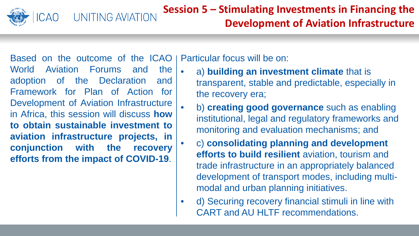

Based on the outcome of the ICAO World Aviation Forums and the adoption of the Declaration and Framework for Plan of Action for Development of Aviation Infrastructure in Africa, this session will discuss **how to obtain sustainable investment to aviation infrastructure projects, in conjunction with the recovery efforts from the impact of COVID-19**.

UNITING AVIATION

Particular focus will be on:

- a) **building an investment climate** that is transparent, stable and predictable, especially in the recovery era;
	- b) **creating good governance** such as enabling institutional, legal and regulatory frameworks and monitoring and evaluation mechanisms; and
	- c) **consolidating planning and development efforts to build resilient** aviation, tourism and trade infrastructure in an appropriately balanced development of transport modes, including multimodal and urban planning initiatives.
- d) Securing recovery financial stimuli in line with CART and AU HLTF recommendations.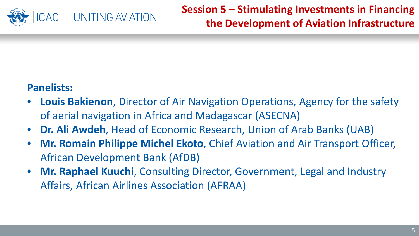

**Session 5 – Stimulating Investments in Financing the Development of Aviation Infrastructure** 

## **Panelists:**

- **Louis Bakienon**, Director of Air Navigation Operations, Agency for the safety of aerial navigation in Africa and Madagascar (ASECNA)
- **Dr. Ali Awdeh**, Head of Economic Research, Union of Arab Banks (UAB)
- **Mr. Romain Philippe Michel Ekoto**, Chief Aviation and Air Transport Officer, African Development Bank (AfDB)
- **Mr. Raphael Kuuchi**, Consulting Director, Government, Legal and Industry Affairs, African Airlines Association (AFRAA)